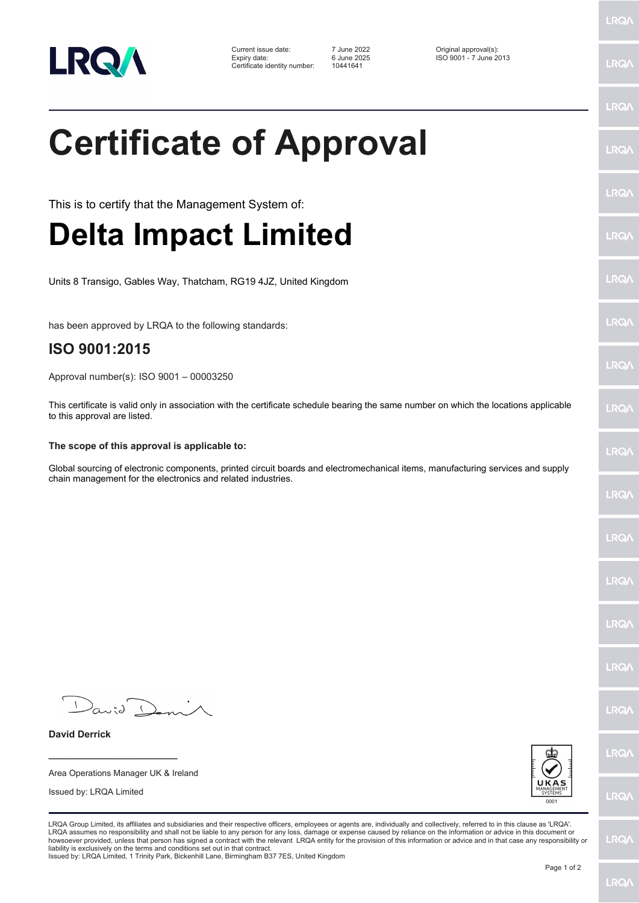

| Current issue date:          | 7 June 2022 | Original approval(s):  |
|------------------------------|-------------|------------------------|
| Expiry date:                 | 6 June 2025 | ISO 9001 - 7 June 2013 |
| Certificate identity number: | 10441641    |                        |

**Certificate of Approval**

This is to certify that the Management System of:

## **Delta Impact Limited**

Units 8 Transigo, Gables Way, Thatcham, RG19 4JZ, United Kingdom

has been approved by LRQA to the following standards:

## **ISO 9001:2015**

Approval number(s): ISO 9001 – 00003250

This certificate is valid only in association with the certificate schedule bearing the same number on which the locations applicable to this approval are listed.

## **The scope of this approval is applicable to:**

Global sourcing of electronic components, printed circuit boards and electromechanical items, manufacturing services and supply chain management for the electronics and related industries.

 $D$ anid  $\Gamma$ 

**\_\_\_\_\_\_\_\_\_\_\_\_\_\_\_\_\_\_\_\_\_\_\_\_** Area Operations Manager UK & Ireland

Issued by: LRQA Limited

**David Derrick**

| LRQA Group Limited, its affiliates and subsidiaries and their respective officers, employees or agents are, individually and collectively, referred to in this clause as 'LRQA'.  |
|-----------------------------------------------------------------------------------------------------------------------------------------------------------------------------------|
| LRQA assumes no responsibility and shall not be liable to any person for any loss, damage or expense caused by reliance on the information or advice in this document or          |
| howsoever provided, unless that person has signed a contract with the relevant LRQA entity for the provision of this information or advice and in that case any responsibility or |
| liability is exclusively on the terms and conditions set out in that contract.                                                                                                    |
|                                                                                                                                                                                   |

Issued by: LRQA Limited, 1 Trinity Park, Bickenhill Lane, Birmingham B37 7ES, United Kingdom

LRQ/

LRQ/

LRQ/

LRQ/

LRQ/

LRQ/

LRQ/

**LRQA** 

LRQ/

LRQ/

LRQ/

**LRQ/** 

**LRQ/** 

LRQ/

**IRQA** 

LRQ/

LRQ/

LRQ/

LRQ/